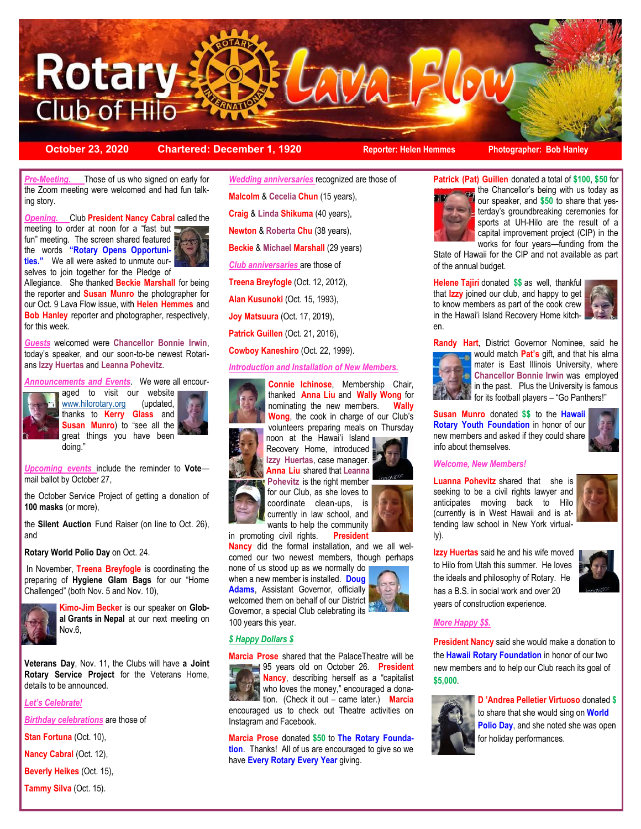

**October 23, 2020 Chartered: December 1, 1920 Reporter: Helen Hemmes Photographer: Bob Hanley**

*Pre-Meeting.* Those of us who signed on early for the Zoom meeting were welcomed and had fun talking story.

*Opening.* Club **President Nancy Cabral** called the





Allegiance. She thanked **Beckie Marshall** for being the reporter and **Susan Munro** the photographer for our Oct. 9 Lava Flow issue, with **Helen Hemmes** and **Bob Hanley** reporter and photographer, respectively, for this week.

*Guests* welcomed were **Chancellor Bonnie Irwin**, today's speaker, and our soon-to-be newest Rotarians **Izzy Huertas** and **Leanna Pohevitz**.

*Announcements and Events*. We were all encour-



aged to visit our website [www.hilorotary.org](http://www.hilorotary.org) (updated, thanks to **Kerry Glass** and **Susan Munro**) to "see all the great things you have been doing."

*Upcoming events* include the reminder to **Vote** mail ballot by October 27,

the October Service Project of getting a donation of **100 masks** (or more),

the **Silent Auction** Fund Raiser (on line to Oct. 26), and

**Rotary World Polio Day** on Oct. 24.

In November, **Treena Breyfogle** is coordinating the preparing of **Hygiene Glam Bags** for our "Home Challenged" (both Nov. 5 and Nov. 10),



**Kimo-Jim Becke**r is our speaker on **Global Grants in Nepal** at our next meeting on Nov.6,

**Veterans Day**, Nov. 11, the Clubs will have **a Joint Rotary Service Project** for the Veterans Home, details to be announced.

*Let's Celebrate!*

*Birthday celebrations* are those of

**Stan Fortuna** (Oct. 10),

**Nancy Cabral** (Oct. 12),

**Beverly Heikes** (Oct. 15),

**Tammy Silva** (Oct. 15).

*Wedding anniversaries* recognized are those of **Malcolm** & **Cecelia Chun** (15 years), **Craig** & **Linda Shikuma** (40 years), **Newton** & **Roberta Chu** (38 years), **Beckie** & **Michael Marshall** (29 years) *Club anniversaries* are those of **Treena Breyfogle** (Oct. 12, 2012), **Alan Kusunoki** (Oct. 15, 1993), **Joy Matsuura** (Oct. 17, 2019), **Patrick Guillen** (Oct. 21, 2016), **Cowboy Kaneshiro** (Oct. 22, 1999).

*Introduction and Installation of New Members.* 



**Connie Ichinose**, Membership Chair, thanked **Anna Liu** and **Wally Wong** for nominating the new members. **Wally Wong**, the cook in charge of our Club's volunteers preparing meals on Thursday

noon at the Hawai'i Island Recovery Home, introduced **Izzy Huertas**, case manager. **Anna Liu** shared that **Leanna Pohevitz** is the right member

for our Club, as she loves to coordinate clean-ups, is currently in law school, and wants to help the community

in promoting civil rights. **President Nancy** did the formal installation, and we all wel-

comed our two newest members, though perhaps none of us stood up as we normally do

when a new member is installed. **Doug Adams**, Assistant Governor, officially welcomed them on behalf of our District Governor, a special Club celebrating its 100 years this year.

## *\$ Happy Dollars \$*

**Marcia Prose** shared that the PalaceTheatre will be 95 years old on October 26. **President Nancy**, describing herself as a "capitalist who loves the money," encouraged a donation. (Check it out – came later.) **Marcia** encouraged us to check out Theatre activities on Instagram and Facebook.

**Marcia Prose** donated **\$50** to **The Rotary Foundation**. Thanks! All of us are encouraged to give so we have **Every Rotary Every Year** giving.



**Patrick (Pat) Guillen** donated a total of **\$100**, **\$50** for the Chancellor's being with us today as our speaker, and **\$50** to share that yesterday's groundbreaking ceremonies for sports at UH-Hilo are the result of a capital improvement project (CIP) in the works for four years—funding from the

State of Hawaii for the CIP and not available as part of the annual budget.

**Helene Tajiri** donated **\$\$** as well, thankful that **Izzy** joined our club, and happy to get to know members as part of the cook crew in the Hawai'i Island Recovery Home kitchen.



**Randy Hart**, District Governor Nominee, said he



would match **Pat's** gift, and that his alma mater is East Illinois University, where **Chancellor Bonnie Irwin** was employed  $\blacksquare$  in the past. Plus the University is famous for its football players – "Go Panthers!"

**Susan Munro** donated **\$\$** to the **Hawaii Rotary Youth Foundation** in honor of our new members and asked if they could share info about themselves.

#### *Welcome, New Members!*

**Luanna Pohevitz** shared that she is seeking to be a civil rights lawyer and anticipates moving back to Hilo (currently is in West Hawaii and is attending law school in New York virtually).



**Izzy Huertas** said he and his wife moved to Hilo from Utah this summer. He loves the ideals and philosophy of Rotary. He has a B.S. in social work and over 20 years of construction experience.

# *More Happy \$\$.*

**President Nancy** said she would make a donation to the **Hawaii Rotary Foundation** in honor of our two new members and to help our Club reach its goal of **\$5,000**.



**D 'Andrea Pelletier Virtuoso** donated **\$** to share that she would sing on **World Polio Day**, and she noted she was open for holiday performances.